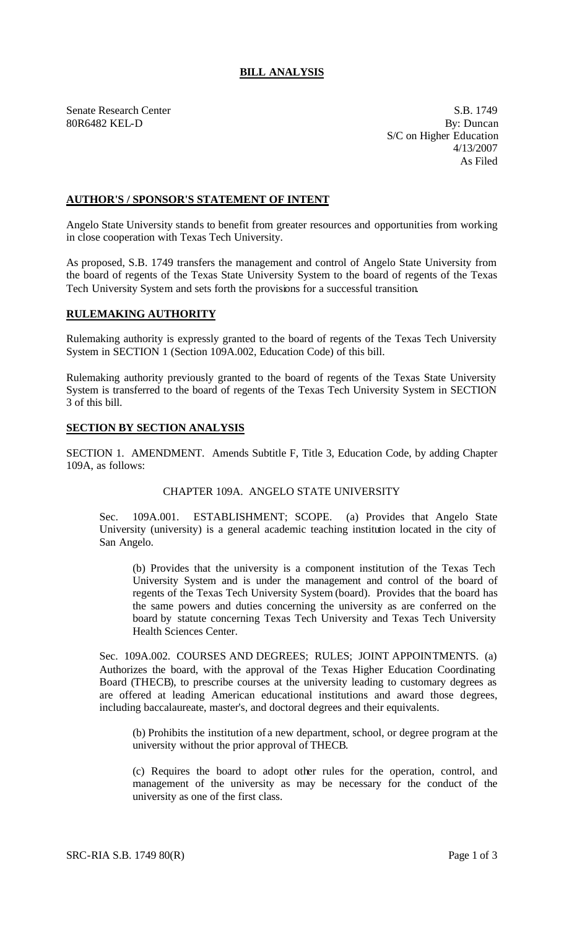## **BILL ANALYSIS**

Senate Research Center S.B. 1749

80R6482 KEL-D By: Duncan S/C on Higher Education 4/13/2007 As Filed

### **AUTHOR'S / SPONSOR'S STATEMENT OF INTENT**

Angelo State University stands to benefit from greater resources and opportunities from working in close cooperation with Texas Tech University.

As proposed, S.B. 1749 transfers the management and control of Angelo State University from the board of regents of the Texas State University System to the board of regents of the Texas Tech University System and sets forth the provisions for a successful transition.

# **RULEMAKING AUTHORITY**

Rulemaking authority is expressly granted to the board of regents of the Texas Tech University System in SECTION 1 (Section 109A.002, Education Code) of this bill.

Rulemaking authority previously granted to the board of regents of the Texas State University System is transferred to the board of regents of the Texas Tech University System in SECTION 3 of this bill.

### **SECTION BY SECTION ANALYSIS**

SECTION 1. AMENDMENT. Amends Subtitle F, Title 3, Education Code, by adding Chapter 109A, as follows:

### CHAPTER 109A. ANGELO STATE UNIVERSITY

Sec. 109A.001. ESTABLISHMENT; SCOPE. (a) Provides that Angelo State University (university) is a general academic teaching institution located in the city of San Angelo.

(b) Provides that the university is a component institution of the Texas Tech University System and is under the management and control of the board of regents of the Texas Tech University System (board). Provides that the board has the same powers and duties concerning the university as are conferred on the board by statute concerning Texas Tech University and Texas Tech University Health Sciences Center.

Sec. 109A.002. COURSES AND DEGREES; RULES; JOINT APPOINTMENTS. (a) Authorizes the board, with the approval of the Texas Higher Education Coordinating Board (THECB), to prescribe courses at the university leading to customary degrees as are offered at leading American educational institutions and award those degrees, including baccalaureate, master's, and doctoral degrees and their equivalents.

(b) Prohibits the institution of a new department, school, or degree program at the university without the prior approval of THECB.

(c) Requires the board to adopt other rules for the operation, control, and management of the university as may be necessary for the conduct of the university as one of the first class.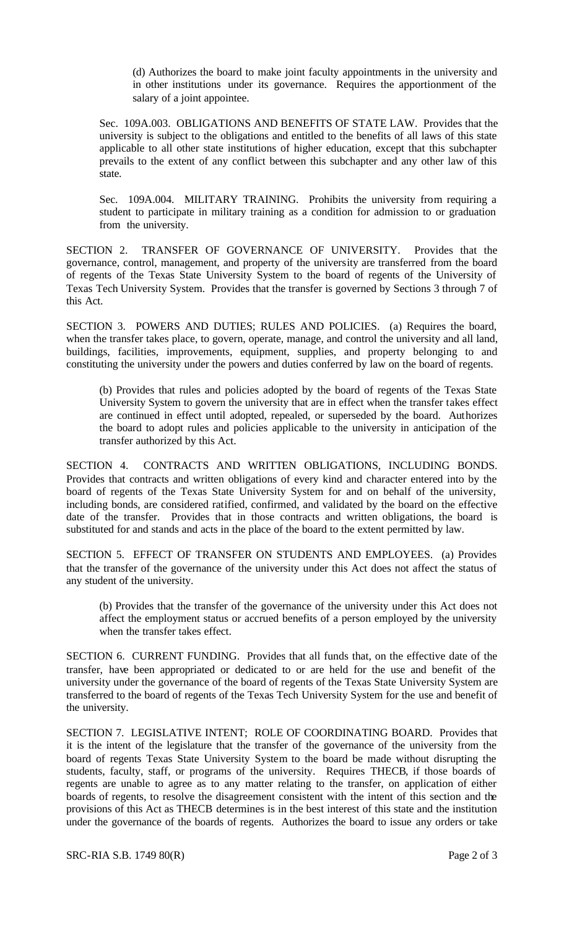(d) Authorizes the board to make joint faculty appointments in the university and in other institutions under its governance. Requires the apportionment of the salary of a joint appointee.

Sec. 109A.003. OBLIGATIONS AND BENEFITS OF STATE LAW. Provides that the university is subject to the obligations and entitled to the benefits of all laws of this state applicable to all other state institutions of higher education, except that this subchapter prevails to the extent of any conflict between this subchapter and any other law of this state.

Sec. 109A.004. MILITARY TRAINING. Prohibits the university from requiring a student to participate in military training as a condition for admission to or graduation from the university.

SECTION 2. TRANSFER OF GOVERNANCE OF UNIVERSITY. Provides that the governance, control, management, and property of the university are transferred from the board of regents of the Texas State University System to the board of regents of the University of Texas Tech University System. Provides that the transfer is governed by Sections 3 through 7 of this Act.

SECTION 3. POWERS AND DUTIES; RULES AND POLICIES. (a) Requires the board, when the transfer takes place, to govern, operate, manage, and control the university and all land, buildings, facilities, improvements, equipment, supplies, and property belonging to and constituting the university under the powers and duties conferred by law on the board of regents.

(b) Provides that rules and policies adopted by the board of regents of the Texas State University System to govern the university that are in effect when the transfer takes effect are continued in effect until adopted, repealed, or superseded by the board. Authorizes the board to adopt rules and policies applicable to the university in anticipation of the transfer authorized by this Act.

SECTION 4. CONTRACTS AND WRITTEN OBLIGATIONS, INCLUDING BONDS. Provides that contracts and written obligations of every kind and character entered into by the board of regents of the Texas State University System for and on behalf of the university, including bonds, are considered ratified, confirmed, and validated by the board on the effective date of the transfer. Provides that in those contracts and written obligations, the board is substituted for and stands and acts in the place of the board to the extent permitted by law.

SECTION 5. EFFECT OF TRANSFER ON STUDENTS AND EMPLOYEES. (a) Provides that the transfer of the governance of the university under this Act does not affect the status of any student of the university.

(b) Provides that the transfer of the governance of the university under this Act does not affect the employment status or accrued benefits of a person employed by the university when the transfer takes effect.

SECTION 6. CURRENT FUNDING. Provides that all funds that, on the effective date of the transfer, have been appropriated or dedicated to or are held for the use and benefit of the university under the governance of the board of regents of the Texas State University System are transferred to the board of regents of the Texas Tech University System for the use and benefit of the university.

SECTION 7. LEGISLATIVE INTENT; ROLE OF COORDINATING BOARD. Provides that it is the intent of the legislature that the transfer of the governance of the university from the board of regents Texas State University System to the board be made without disrupting the students, faculty, staff, or programs of the university. Requires THECB, if those boards of regents are unable to agree as to any matter relating to the transfer, on application of either boards of regents, to resolve the disagreement consistent with the intent of this section and the provisions of this Act as THECB determines is in the best interest of this state and the institution under the governance of the boards of regents. Authorizes the board to issue any orders or take